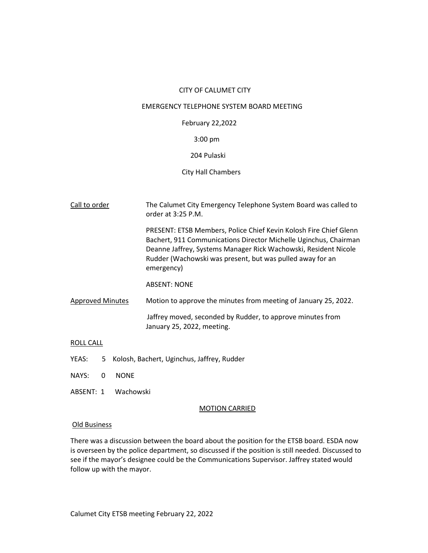## CITY OF CALUMET CITY

# EMERGENCY TELEPHONE SYSTEM BOARD MEETING

# February 22,2022

# 3:00 pm

# 204 Pulaski

## City Hall Chambers

| Call to order           | The Calumet City Emergency Telephone System Board was called to<br>order at $3:25$ P.M.                                                                                                                                                                                             |
|-------------------------|-------------------------------------------------------------------------------------------------------------------------------------------------------------------------------------------------------------------------------------------------------------------------------------|
|                         | PRESENT: ETSB Members, Police Chief Kevin Kolosh Fire Chief Glenn<br>Bachert, 911 Communications Director Michelle Uginchus, Chairman<br>Deanne Jaffrey, Systems Manager Rick Wachowski, Resident Nicole<br>Rudder (Wachowski was present, but was pulled away for an<br>emergency) |
|                         | <b>ABSENT: NONE</b>                                                                                                                                                                                                                                                                 |
| <b>Approved Minutes</b> | Motion to approve the minutes from meeting of January 25, 2022.                                                                                                                                                                                                                     |
|                         | Jaffrey moved, seconded by Rudder, to approve minutes from<br>January 25, 2022, meeting.                                                                                                                                                                                            |
| ROLL CALL               |                                                                                                                                                                                                                                                                                     |

- YEAS: 5 Kolosh, Bachert, Uginchus, Jaffrey, Rudder
- NAYS: 0 NONE
- ABSENT: 1 Wachowski

#### MOTION CARRIED

#### Old Business

There was a discussion between the board about the position for the ETSB board. ESDA now is overseen by the police department, so discussed if the position is still needed. Discussed to see if the mayor's designee could be the Communications Supervisor. Jaffrey stated would follow up with the mayor.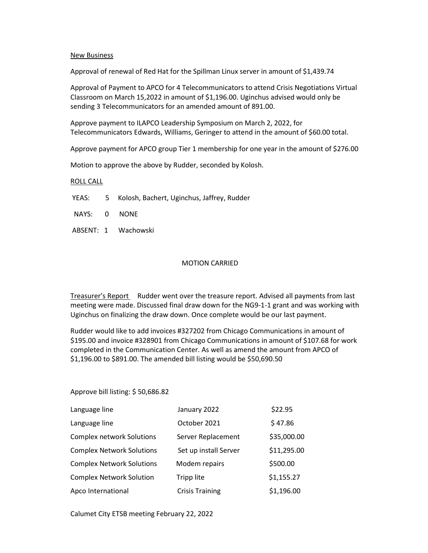### New Business

Approval of renewal of Red Hat for the Spillman Linux server in amount of \$1,439.74

Approval of Payment to APCO for 4 Telecommunicators to attend Crisis Negotiations Virtual Classroom on March 15,2022 in amount of \$1,196.00. Uginchus advised would only be sending 3 Telecommunicators for an amended amount of 891.00.

Approve payment to ILAPCO Leadership Symposium on March 2, 2022, for Telecommunicators Edwards, Williams, Geringer to attend in the amount of \$60.00 total.

Approve payment for APCO group Tier 1 membership for one year in the amount of \$276.00

Motion to approve the above by Rudder, seconded by Kolosh.

### ROLL CALL

- YEAS: 5 Kolosh, Bachert, Uginchus, Jaffrey, Rudder
- NAYS: 0 NONE
- ABSENT: 1 Wachowski

### MOTION CARRIED

Treasurer's Report Rudder went over the treasure report. Advised all payments from last meeting were made. Discussed final draw down for the NG9-1-1 grant and was working with Uginchus on finalizing the draw down. Once complete would be our last payment.

Rudder would like to add invoices #327202 from Chicago Communications in amount of \$195.00 and invoice #328901 from Chicago Communications in amount of \$107.68 for work completed in the Communication Center. As well as amend the amount from APCO of \$1,196.00 to \$891.00. The amended bill listing would be \$50,690.50

#### Approve bill listing: \$ 50,686.82

| Language line                    | January 2022           | \$22.95     |
|----------------------------------|------------------------|-------------|
| Language line                    | October 2021           | \$47.86     |
| <b>Complex network Solutions</b> | Server Replacement     | \$35,000.00 |
| <b>Complex Network Solutions</b> | Set up install Server  | \$11,295.00 |
| <b>Complex Network Solutions</b> | Modem repairs          | \$500.00    |
| <b>Complex Network Solution</b>  | Tripp lite             | \$1,155.27  |
| Apco International               | <b>Crisis Training</b> | \$1,196.00  |

Calumet City ETSB meeting February 22, 2022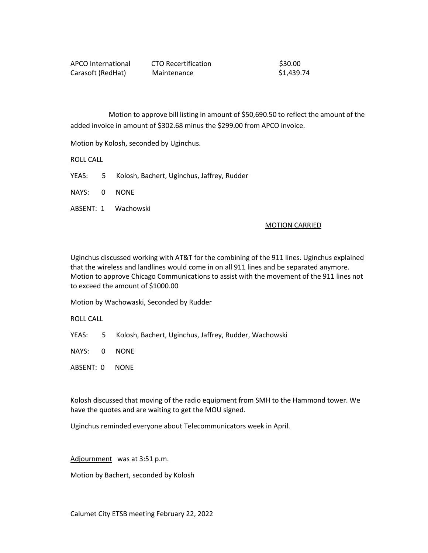| APCO International | CTO Recertification | \$30.00    |
|--------------------|---------------------|------------|
| Carasoft (RedHat)  | Maintenance         | \$1,439.74 |

 Motion to approve bill listing in amount of \$50,690.50 to reflect the amount of the added invoice in amount of \$302.68 minus the \$299.00 from APCO invoice.

Motion by Kolosh, seconded by Uginchus.

ROLL CALL

- YEAS: 5 Kolosh, Bachert, Uginchus, Jaffrey, Rudder
- NAYS: 0 NONE
- ABSENT: 1 Wachowski

#### MOTION CARRIED

Uginchus discussed working with AT&T for the combining of the 911 lines. Uginchus explained that the wireless and landlines would come in on all 911 lines and be separated anymore. Motion to approve Chicago Communications to assist with the movement of the 911 lines not to exceed the amount of \$1000.00

Motion by Wachowaski, Seconded by Rudder

ROLL CALL

YEAS: 5 Kolosh, Bachert, Uginchus, Jaffrey, Rudder, Wachowski

NAYS: 0 NONE

ABSENT: 0 NONE

Kolosh discussed that moving of the radio equipment from SMH to the Hammond tower. We have the quotes and are waiting to get the MOU signed.

Uginchus reminded everyone about Telecommunicators week in April.

Adjournment was at 3:51 p.m.

Motion by Bachert, seconded by Kolosh

Calumet City ETSB meeting February 22, 2022